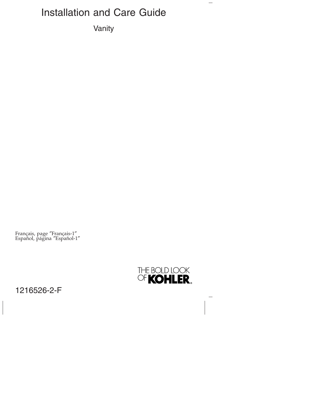# Installation and Care Guide

Vanity

Français, page ″Français-1″ Español, página ″Español-1″



 $\overline{\phantom{0}}$ 

1216526-2-F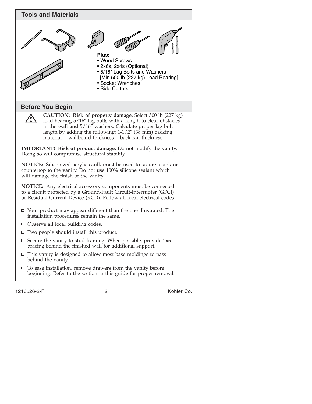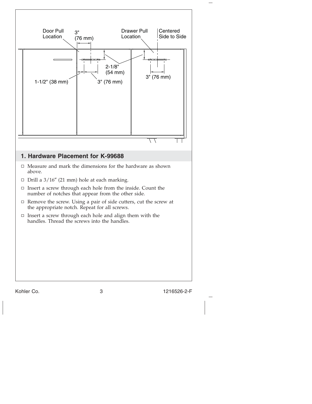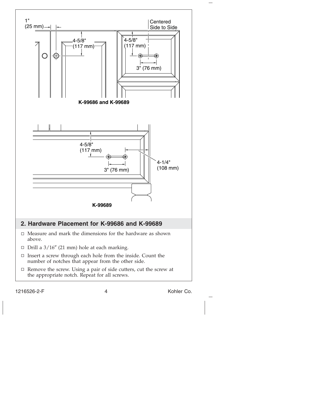

1216526-2-F 4 Kohler Co.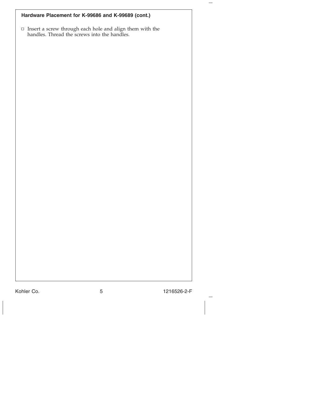| Hardware Placement for K-99686 and K-99689 (cont.)                                                                        |  |  |  |  |  |
|---------------------------------------------------------------------------------------------------------------------------|--|--|--|--|--|
| $\hfill \Box$<br>Insert a screw through each hole and align them with the<br>handles. Thread the screws into the handles. |  |  |  |  |  |
|                                                                                                                           |  |  |  |  |  |
|                                                                                                                           |  |  |  |  |  |
|                                                                                                                           |  |  |  |  |  |
|                                                                                                                           |  |  |  |  |  |
|                                                                                                                           |  |  |  |  |  |
|                                                                                                                           |  |  |  |  |  |
|                                                                                                                           |  |  |  |  |  |
|                                                                                                                           |  |  |  |  |  |
|                                                                                                                           |  |  |  |  |  |
|                                                                                                                           |  |  |  |  |  |
|                                                                                                                           |  |  |  |  |  |
|                                                                                                                           |  |  |  |  |  |
|                                                                                                                           |  |  |  |  |  |
|                                                                                                                           |  |  |  |  |  |
|                                                                                                                           |  |  |  |  |  |

Kohler Co. 5 1216526-2-F

 $\overline{\phantom{0}}$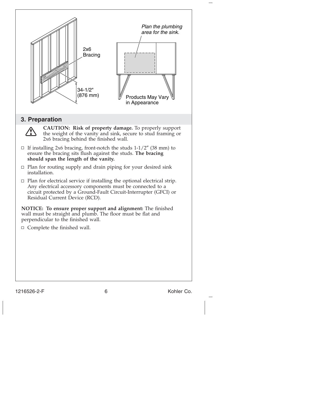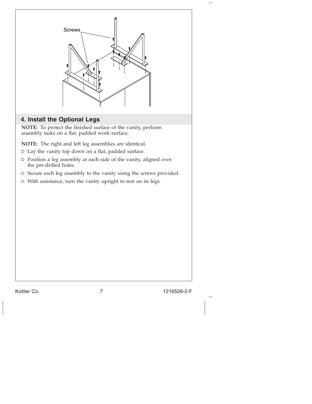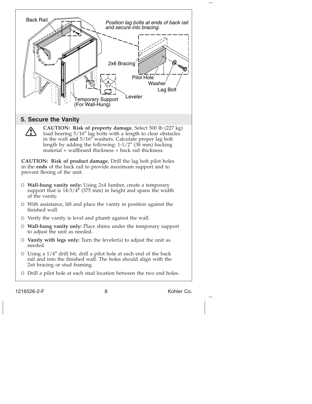

1216526-2-F 8 8 Kohler Co.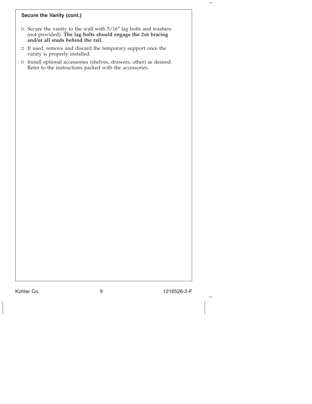# **Secure the Vanity (cont.)**

- Secure the vanity to the wall with 5/16″ lag bolts and washers (not provided). **The lag bolts should engage the 2x6 bracing and/or all studs behind the rail.**
- $\Box~$  If used, remove and discard the temporary support once the vanity is properly installed.
- $\Box$  Install optional accessories (shelves, drawers, other) as desired. Refer to the instructions packed with the accessories.

Kohler Co. 9 1216526-2-F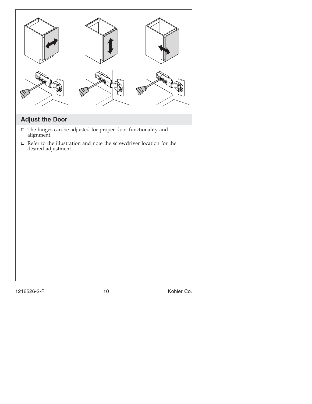| <b>Adjust the Door</b> | The hinges can be adjusted for proper door functionality and               |            |
|------------------------|----------------------------------------------------------------------------|------------|
| $\Box$<br>alignment.   | $\Box$ Refer to the illustration and note the screwdriver location for the |            |
| desired adjustment.    |                                                                            |            |
| 1216526-2-F            | 10                                                                         | Kohler Co. |
|                        |                                                                            |            |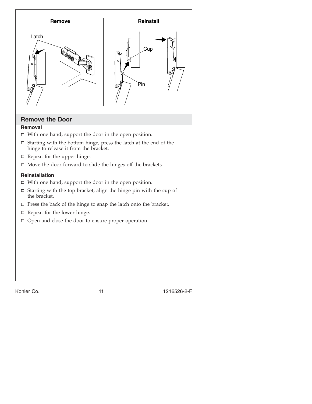

Kohler Co. 2012 1216526-2-F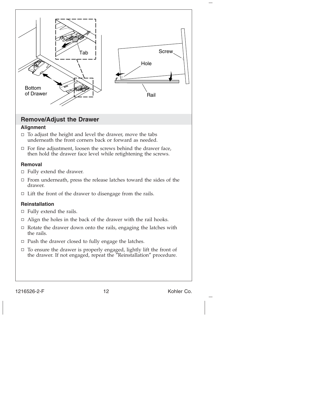

1216526-2-F 12 Kohler Co.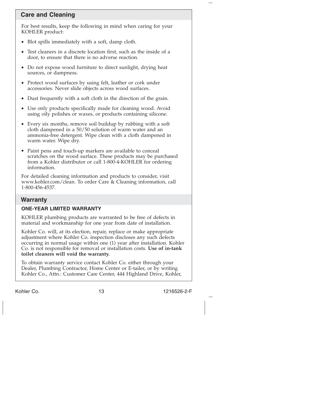# **Care and Cleaning**

For best results, keep the following in mind when caring for your KOHLER product:

- Blot spills immediately with a soft, damp cloth.
- Test cleaners in a discrete location first, such as the inside of a door, to ensure that there is no adverse reaction.
- Do not expose wood furniture to direct sunlight, drying heat sources, or dampness.
- Protect wood surfaces by using felt, leather or cork under accessories. Never slide objects across wood surfaces.
- Dust frequently with a soft cloth in the direction of the grain.
- Use only products specifically made for cleaning wood. Avoid using oily polishes or waxes, or products containing silicone.
- Every six months, remove soil buildup by rubbing with a soft cloth dampened in a 50/50 solution of warm water and an ammonia-free detergent. Wipe clean with a cloth dampened in warm water. Wipe dry.
- Paint pens and touch-up markers are available to conceal scratches on the wood surface. These products may be purchased from a Kohler distributor or call 1-800-4-KOHLER for ordering information.

For detailed cleaning information and products to consider, visit www.kohler.com/clean. To order Care & Cleaning information, call 1-800-456-4537.

# **Warranty**

### **ONE-YEAR LIMITED WARRANTY**

KOHLER plumbing products are warranted to be free of defects in material and workmanship for one year from date of installation.

Kohler Co. will, at its election, repair, replace or make appropriate adjustment where Kohler Co. inspection discloses any such defects occurring in normal usage within one (1) year after installation. Kohler Co. is not responsible for removal or installation costs. **Use of in-tank toilet cleaners will void the warranty.**

To obtain warranty service contact Kohler Co. either through your Dealer, Plumbing Contractor, Home Center or E-tailer, or by writing Kohler Co., Attn.: Customer Care Center, 444 Highland Drive, Kohler,

Kohler Co. 2008. 2009. [13] The Motor Co. 216526-2-F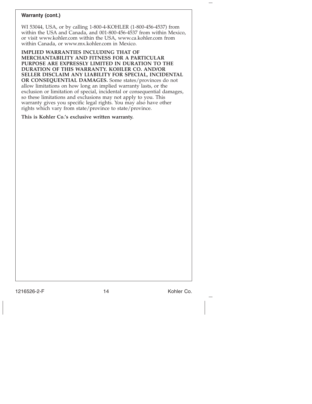#### **Warranty (cont.)**

WI 53044, USA, or by calling 1-800-4-KOHLER (1-800-456-4537) from within the USA and Canada, and 001-800-456-4537 from within Mexico, or visit www.kohler.com within the USA, www.ca.kohler.com from within Canada, or www.mx.kohler.com in Mexico.

**IMPLIED WARRANTIES INCLUDING THAT OF MERCHANTABILITY AND FITNESS FOR A PARTICULAR PURPOSE ARE EXPRESSLY LIMITED IN DURATION TO THE DURATION OF THIS WARRANTY. KOHLER CO. AND/OR SELLER DISCLAIM ANY LIABILITY FOR SPECIAL, INCIDENTAL OR CONSEQUENTIAL DAMAGES.** Some states/provinces do not allow limitations on how long an implied warranty lasts, or the exclusion or limitation of special, incidental or consequential damages, so these limitations and exclusions may not apply to you. This warranty gives you specific legal rights. You may also have other rights which vary from state/province to state/province.

#### **This is Kohler Co.'s exclusive written warranty.**

1216526-2-F 14 Kohler Co.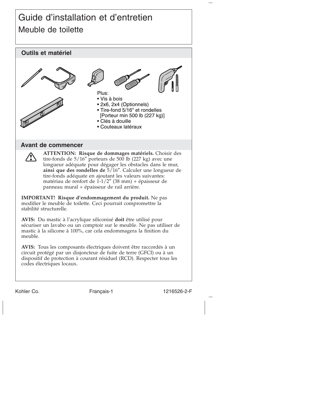# Guide d'installation et d'entretien Meuble de toilette

# **Outils et matériel Avant de commencer ATTENTION: Risque de dommages matériels.** Choisir des tire-fonds de 5/16″ porteurs de 500 lb (227 kg) avec une longueur adéquate pour dégager les obstacles dans le mur, **ainsi que des rondelles de** 5/16″. Calculer une longueur de tire-fonds adéquate en ajoutant les valeurs suivantes: matériau de renfort de 1-1/2″ (38 mm) + épaisseur de panneau mural + épaisseur de rail arrière. **IMPORTANT! Risque d'endommagement du produit.** Ne pas modifier le meuble de toilette. Ceci pourrait compromettre la stabilité structurelle. **AVIS:** Du mastic à l'acrylique siliconisé **doit** être utilisé pour sécuriser un lavabo ou un comptoir sur le meuble. Ne pas utiliser de mastic à la silicone à 100%, car cela endommagera la finition du meuble. **AVIS:** Tous les composants électriques doivent être raccordés à un circuit protégé par un disjoncteur de fuite de terre (GFCI) ou à un dispositif de protection à courant résiduel (RCD). Respecter tous les codes électriques locaux. Plus: • Vis à bois • 2x6, 2x4 (Optionnels) • Tire-fond 5/16" et rondelles [Porteur min 500 lb (227 kg)] • Clés à douille • Couteaux latéraux

Kohler Co. Français-1 1216526-2-F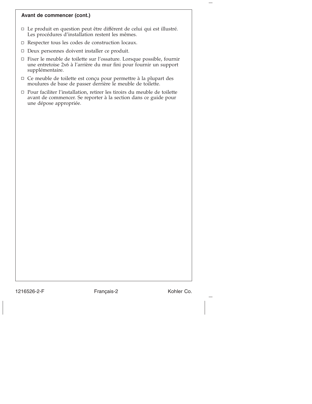#### **Avant de commencer (cont.)**

- Le produit en question peut être différent de celui qui est illustré. Les procédures d'installation restent les mêmes.
- Respecter tous les codes de construction locaux.
- $\Box$  Deux personnes doivent installer ce produit.
- Fixer le meuble de toilette sur l'ossature. Lorsque possible, fournir une entretoise 2x6 à l'arrière du mur fini pour fournir un support supplémentaire.
- Ce meuble de toilette est conçu pour permettre à la plupart des moulures de base de passer derrière le meuble de toilette.
- Pour faciliter l'installation, retirer les tiroirs du meuble de toilette avant de commencer. Se reporter à la section dans ce guide pour une dépose appropriée.

1216526-2-F Français-2 Kohler Co.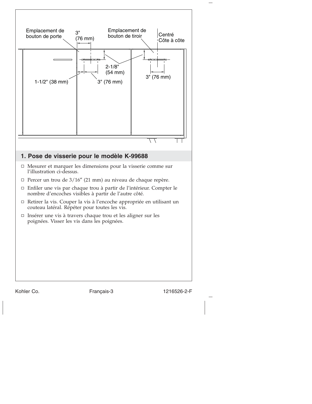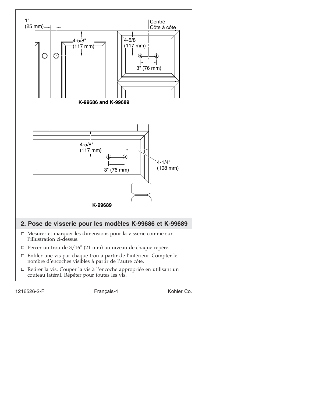

1216526-2-F Français-4 Kohler Co.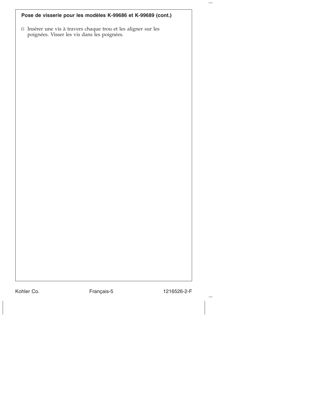| Pose de visserie pour les modèles K-99686 et K-99689 (cont.) |  |
|--------------------------------------------------------------|--|
|--------------------------------------------------------------|--|

Insérer une vis à travers chaque trou et les aligner sur les poignées. Visser les vis dans les poignées.

Kohler Co. Français-5 1216526-2-F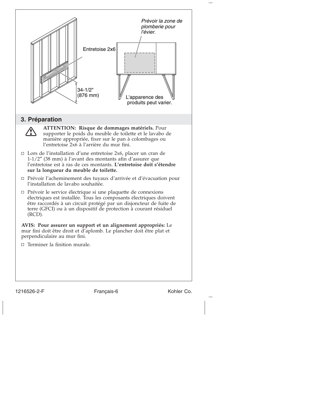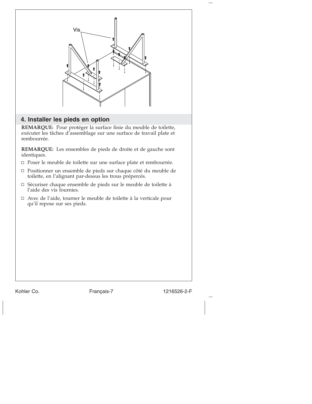

# **4. Installer les pieds en option**

**REMARQUE:** Pour protéger la surface finie du meuble de toilette, exécuter les tâches d'assemblage sur une surface de travail plate et rembourrée.

**REMARQUE:** Les ensembles de pieds de droite et de gauche sont identiques.

- Poser le meuble de toilette sur une surface plate et rembourrée.
- Positionner un ensemble de pieds sur chaque côté du meuble de toilette, en l'alignant par-dessus les trous prépercés.
- Sécuriser chaque ensemble de pieds sur le meuble de toilette à l'aide des vis fournies.
- Avec de l'aide, tourner le meuble de toilette à la verticale pour qu'il repose sur ses pieds.

Kohler Co. **Français-7** 1216526-2-F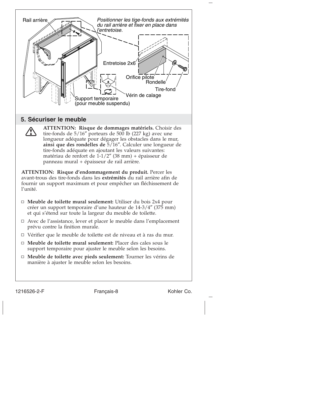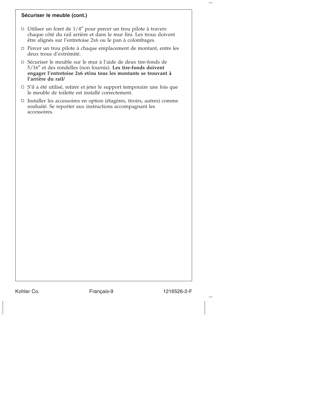#### **Sécuriser le meuble (cont.)**

- $\Box$  Utiliser un foret de 1/4" pour percer un trou pilote à travers chaque côté du rail arrière et dans le mur fini. Les trous doivent être alignés sur l'entretoise 2x6 ou le pan à colombages.
- $\Box$  Percer un trou pilote à chaque emplacement de montant, entre les deux trous d'extrémité.
- Sécuriser le meuble sur le mur à l'aide de deux tire-fonds de 5/16″ et des rondelles (non fournis). **Les tire-fonds doivent engager l'entretoise 2x6 et/ou tous les montants se trouvant à l'arrière du rail/**
- $\Box$  S'il a été utilisé, retirer et jeter le support temporaire une fois que le meuble de toilette est installé correctement.
- Installer les accessoires en option (étagères, tiroirs, autres) comme souhaité. Se reporter aux instructions accompagnant les accessoires.

Kohler Co. Français-9 1216526-2-F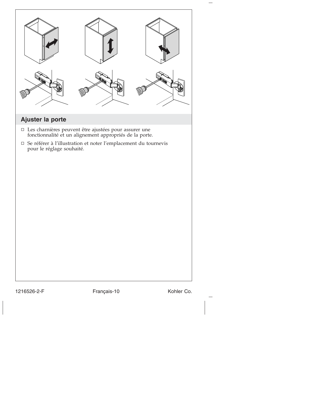| Ajuster la porte          |                                                                                                                                                                                                   |            |
|---------------------------|---------------------------------------------------------------------------------------------------------------------------------------------------------------------------------------------------|------------|
| pour le réglage souhaité. | $\Box$<br>Les charnières peuvent être ajustées pour assurer une fonctionnalité et un alignement appropriés de la porte.<br>$\Box$ Se référer à l'illustration et noter l'emplacement du tournevis |            |
| 1216526-2-F               | Français-10                                                                                                                                                                                       | Kohler Co. |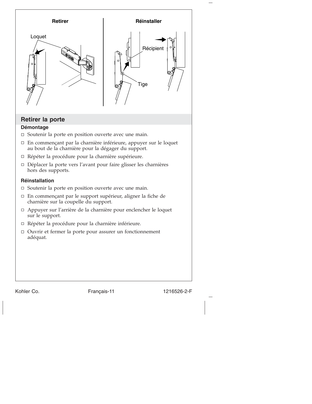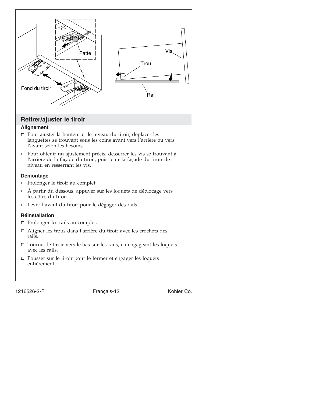

1216526-2-F Français-12 Kohler Co.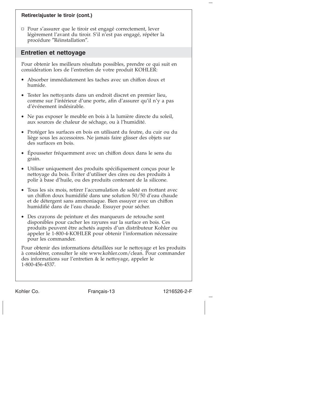#### **Retirer/ajuster le tiroir (cont.)**

□ Pour s'assurer que le tiroir est engagé correctement, lever légèrement l'avant du tiroir. S'il n'est pas engagé, répéter la procédure ″Réinstallation″.

#### **Entretien et nettoyage**

Pour obtenir les meilleurs résultats possibles, prendre ce qui suit en considération lors de l'entretien de votre produit KOHLER:

- Absorber immédiatement les taches avec un chiffon doux et humide.
- Tester les nettoyants dans un endroit discret en premier lieu, comme sur l'intérieur d'une porte, afin d'assurer qu'il n'y a pas d'événement indésirable.
- Ne pas exposer le meuble en bois à la lumière directe du soleil, aux sources de chaleur de séchage, ou à l'humidité.
- Protéger les surfaces en bois en utilisant du feutre, du cuir ou du liège sous les accessoires. Ne jamais faire glisser des objets sur des surfaces en bois.
- Épousseter fréquemment avec un chiffon doux dans le sens du grain.
- Utiliser uniquement des produits spécifiquement conçus pour le nettoyage du bois. Éviter d'utiliser des cires ou des produits à polir à base d'huile, ou des produits contenant de la silicone.
- Tous les six mois, retirer l'accumulation de saleté en frottant avec un chiffon doux humidifié dans une solution 50/50 d'eau chaude et de détergent sans ammoniaque. Bien essuyer avec un chiffon humidifié dans de l'eau chaude. Essuyer pour sécher.
- Des crayons de peinture et des marqueurs de retouche sont disponibles pour cacher les rayures sur la surface en bois. Ces produits peuvent être achetés auprès d'un distributeur Kohler ou appeler le 1-800-4-KOHLER pour obtenir l'information nécessaire pour les commander.

Pour obtenir des informations détaillées sur le nettoyage et les produits à considérer, consulter le site www.kohler.com/clean. Pour commander des informations sur l'entretien & le nettoyage, appeler le 1-800-456-4537.

Kohler Co. Français-13 1216526-2-F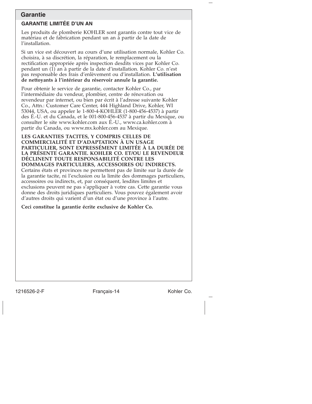### **Garantie**

# **GARANTIE LIMITÉE D'UN AN**

Les produits de plomberie KOHLER sont garantis contre tout vice de matériau et de fabrication pendant un an à partir de la date de l'installation.

Si un vice est découvert au cours d'une utilisation normale, Kohler Co. choisira, à sa discrétion, la réparation, le remplacement ou la rectification appropriée après inspection desdits vices par Kohler Co. pendant un (1) an à partir de la date d'installation. Kohler Co. n'est pas responsable des frais d'enlèvement ou d'installation. **L'utilisation de nettoyants à l'intérieur du réservoir annule la garantie.**

Pour obtenir le service de garantie, contacter Kohler Co., par l'intermédiaire du vendeur, plombier, centre de rénovation ou revendeur par internet, ou bien par écrit à l'adresse suivante Kohler Co., Attn.: Customer Care Center, 444 Highland Drive, Kohler, WI 53044, USA, ou appeler le 1-800-4-KOHLER (1-800-456-4537) à partir des É.-U. et du Canada, et le 001-800-456-4537 à partir du Mexique, ou consulter le site www.kohler.com aux É.-U., www.ca.kohler.com à partir du Canada, ou www.mx.kohler.com au Mexique.

**LES GARANTIES TACITES, Y COMPRIS CELLES DE COMMERCIALITÉ ET D'ADAPTATION À UN USAGE PARTICULIER, SONT EXPRESSÉMENT LIMITÉE À LA DURÉE DE LA PRÉSENTE GARANTIE. KOHLER CO. ET/OU LE REVENDEUR DÉCLINENT TOUTE RESPONSABILITÉ CONTRE LES DOMMAGES PARTICULIERS, ACCESSOIRES OU INDIRECTS.** Certains états et provinces ne permettent pas de limite sur la durée de la garantie tacite, ni l'exclusion ou la limite des dommages particuliers, accessoires ou indirects, et, par conséquent, lesdites limites et exclusions peuvent ne pas s'appliquer à votre cas. Cette garantie vous donne des droits juridiques particuliers. Vous pouvez également avoir d'autres droits qui varient d'un état ou d'une province à l'autre.

**Ceci constitue la garantie écrite exclusive de Kohler Co.**

1216526-2-F Français-14 Kohler Co.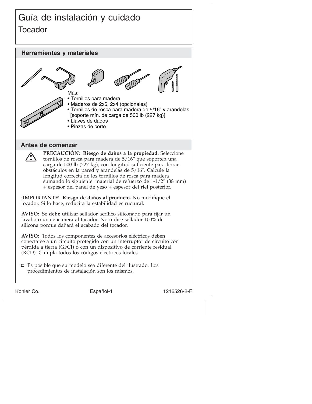# Guía de instalación y cuidado **Tocador**

**Herramientas y materiales Antes de comenzar PRECAUCIÓN: Riesgo de daños a la propiedad.** Seleccione tornillos de rosca para madera de 5/16″ que soporten una carga de 500 lb (227 kg), con longitud suficiente para librar obstáculos en la pared **y** arandelas de 5/16″. Calcule la longitud correcta de los tornillos de rosca para madera sumando lo siguiente: material de refuerzo de 1-1/2″ (38 mm) + espesor del panel de yeso + espesor del riel posterior. **¡IMPORTANTE! Riesgo de daños al producto.** No modifique el tocador. Si lo hace, reducirá la estabilidad estructural. **AVISO:** Se **debe** utilizar sellador acrílico siliconado para fijar un lavabo o una encimera al tocador. No utilice sellador 100% de silicona porque dañará el acabado del tocador. **AVISO:** Todos los componentes de accesorios eléctricos deben conectarse a un circuito protegido con un interruptor de circuito con pérdida a tierra (GFCI) o con un dispositivo de corriente residual (RCD). Cumpla todos los códigos eléctricos locales. Es posible que su modelo sea diferente del ilustrado. Los procedimientos de instalación son los mismos. Más: • Tornillos para madera • Maderos de 2x6, 2x4 (opcionales) • Tornillos de rosca para madera de 5/16" y arandelas [soporte mín. de carga de 500 lb (227 kg)] • Llaves de dados • Pinzas de corte

Kohler Co. **Español-1** Español-1 1216526-2-F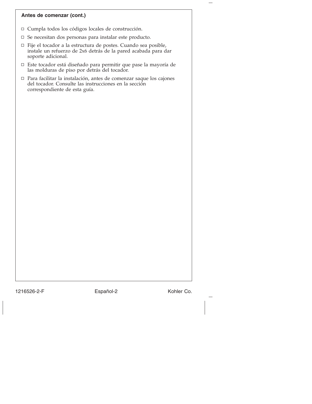#### **Antes de comenzar (cont.)**

- Cumpla todos los códigos locales de construcción.
- $\Box$  Se necesitan dos personas para instalar este producto.
- Fije el tocador a la estructura de postes. Cuando sea posible, instale un refuerzo de 2x6 detrás de la pared acabada para dar soporte adicional.
- Este tocador está diseñado para permitir que pase la mayoría de las molduras de piso por detrás del tocador.
- Para facilitar la instalación, antes de comenzar saque los cajones del tocador. Consulte las instrucciones en la sección correspondiente de esta guía.

1216526-2-F Español-2 Kohler Co.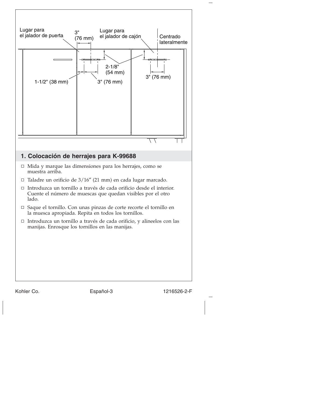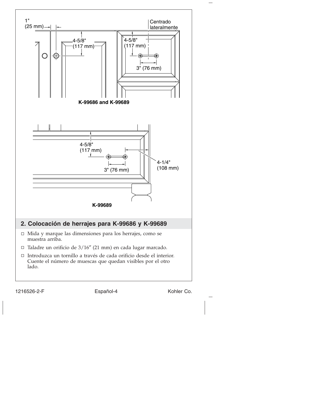

1216526-2-F Español-4 Kohler Co.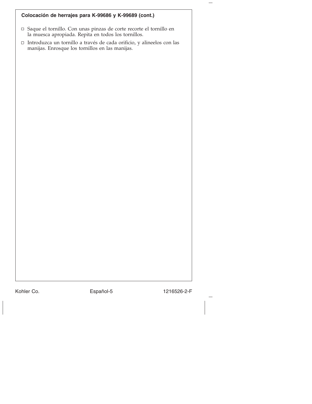| Colocación de herrajes para K-99686 y K-99689 (cont.)                                                                       |
|-----------------------------------------------------------------------------------------------------------------------------|
| □ Saque el tornillo. Con unas pinzas de corte recorte el tornillo en<br>la muesca apropiada. Repita en todos los tornillos. |
| □ Introduzca un tornillo a través de cada orificio, y alineelos con las<br>manijas. Enrosque los tornillos en las manijas.  |
|                                                                                                                             |
|                                                                                                                             |
|                                                                                                                             |
|                                                                                                                             |
|                                                                                                                             |
|                                                                                                                             |
|                                                                                                                             |
|                                                                                                                             |
|                                                                                                                             |
|                                                                                                                             |
|                                                                                                                             |
|                                                                                                                             |
|                                                                                                                             |
|                                                                                                                             |
|                                                                                                                             |
|                                                                                                                             |
|                                                                                                                             |
|                                                                                                                             |

Kohler Co. Español-5 1216526-2-F

 $\overline{\phantom{0}}$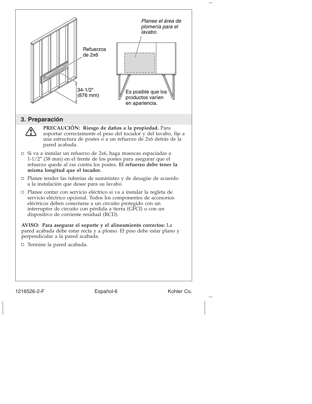

1216526-2-F Español-6 Español-6 Kohler Co.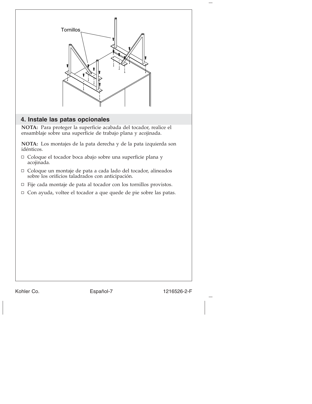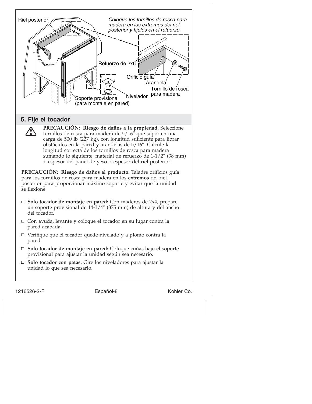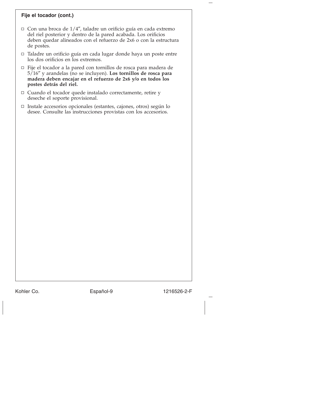#### **Fije el tocador (cont.)**

- $\Box$  Con una broca de 1/4", taladre un orificio guía en cada extremo del riel posterior y dentro de la pared acabada. Los orificios deben quedar alineados con el refuerzo de 2x6 o con la estructura de postes.
- Taladre un orificio guía en cada lugar donde haya un poste entre los dos orificios en los extremos.
- Fije el tocador a la pared con tornillos de rosca para madera de 5/16″ y arandelas (no se incluyen). **Los tornillos de rosca para madera deben encajar en el refuerzo de 2x6 y/o en todos los postes detrás del riel.**
- $\Box$  Cuando el tocador quede instalado correctamente, retire y deseche el soporte provisional.
- Instale accesorios opcionales (estantes, cajones, otros) según lo desee. Consulte las instrucciones provistas con los accesorios.

Kohler Co. **Español-9** 1216526-2-F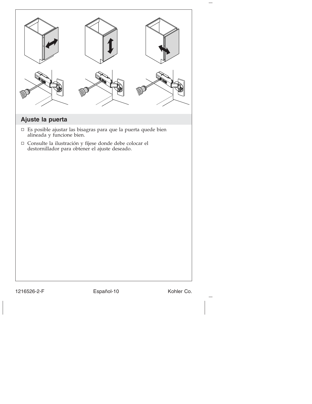| Ajuste la puerta |                                                                                                                                                                                                                             |            |
|------------------|-----------------------------------------------------------------------------------------------------------------------------------------------------------------------------------------------------------------------------|------------|
|                  | $\Box~$ Es posible ajustar las bisagras para que la puerta que<br><br>de bien alineada y funcione bien.<br><br>$\Box$ Consulte la ilustración y fíjese donde debe colocar el destornillador para obtener el ajuste deseado. |            |
| 1216526-2-F      | Español-10                                                                                                                                                                                                                  | Kohler Co. |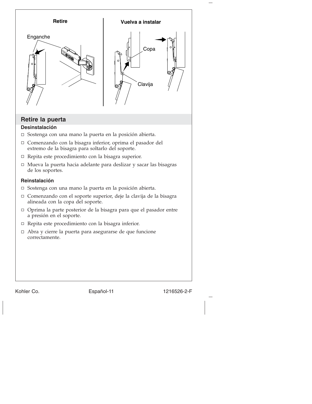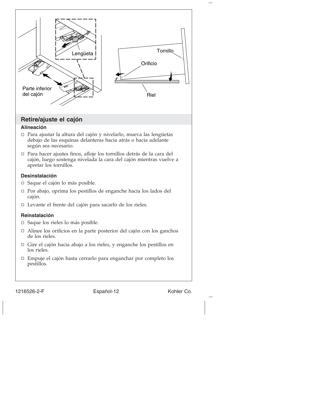

#### 1216526-2-F Español-12 Kohler Co.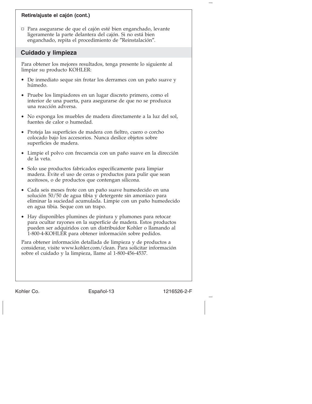#### **Retire/ajuste el cajón (cont.)**

Para asegurarse de que el cajón esté bien enganchado, levante ligeramente la parte delantera del cajón. Si no está bien enganchado, repita el procedimiento de ″Reinstalación″.

### **Cuidado y limpieza**

Para obtener los mejores resultados, tenga presente lo siguiente al limpiar su producto KOHLER:

- De inmediato seque sin frotar los derrames con un paño suave y húmedo.
- Pruebe los limpiadores en un lugar discreto primero, como el interior de una puerta, para asegurarse de que no se produzca una reacción adversa.
- No exponga los muebles de madera directamente a la luz del sol, fuentes de calor o humedad.
- Proteja las superficies de madera con fieltro, cuero o corcho colocado bajo los accesorios. Nunca deslice objetos sobre superficies de madera.
- Limpie el polvo con frecuencia con un paño suave en la dirección de la veta.
- Solo use productos fabricados específicamente para limpiar madera. Evite el uso de ceras o productos para pulir que sean aceitosos, o de productos que contengan silicona.
- Cada seis meses frote con un paño suave humedecido en una solución 50/50 de agua tibia y detergente sin amoniaco para eliminar la suciedad acumulada. Limpie con un paño humedecido en agua tibia. Seque con un trapo.
- Hay disponibles plumines de pintura y plumones para retocar para ocultar rayones en la superficie de madera. Estos productos pueden ser adquiridos con un distribuidor Kohler o llamando al 1-800-4-KOHLER para obtener información sobre pedidos.

Para obtener información detallada de limpieza y de productos a considerar, visite www.kohler.com/clean. Para solicitar información sobre el cuidado y la limpieza, llame al 1-800-456-4537.

Kohler Co. Español-13 1216526-2-F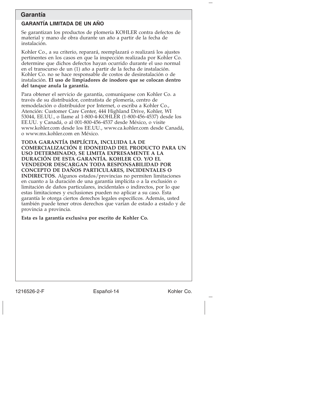## **Garantía**

#### **GARANTÍA LIMITADA DE UN AÑO**

Se garantizan los productos de plomería KOHLER contra defectos de material y mano de obra durante un año a partir de la fecha de instalación.

Kohler Co., a su criterio, reparará, reemplazará o realizará los ajustes pertinentes en los casos en que la inspección realizada por Kohler Co. determine que dichos defectos hayan ocurrido durante el uso normal en el transcurso de un (1) año a partir de la fecha de instalación. Kohler Co. no se hace responsable de costos de desinstalación o de instalación. **El uso de limpiadores de inodoro que se colocan dentro del tanque anula la garantía.**

Para obtener el servicio de garantía, comuníquese con Kohler Co. a través de su distribuidor, contratista de plomería, centro de remodelación o distribuidor por Internet, o escriba a Kohler Co., Atención: Customer Care Center, 444 Highland Drive, Kohler, WI 53044, EE.UU., o llame al 1-800-4-KOHLER (1-800-456-4537) desde los EE.UU. y Canadá, o al 001-800-456-4537 desde México, o visite www.kohler.com desde los EE.UU., www.ca.kohler.com desde Canadá, o www.mx.kohler.com en México.

**TODA GARANTÍA IMPLÍCITA, INCLUIDA LA DE COMERCIALIZACIÓN E IDONEIDAD DEL PRODUCTO PARA UN USO DETERMINADO, SE LIMITA EXPRESAMENTE A LA DURACIÓN DE ESTA GARANTÍA. KOHLER CO. Y/O EL VENDEDOR DESCARGAN TODA RESPONSABILIDAD POR CONCEPTO DE DAÑOS PARTICULARES, INCIDENTALES O INDIRECTOS.** Algunos estados/provincias no permiten limitaciones en cuanto a la duración de una garantía implícita o a la exclusión o limitación de daños particulares, incidentales o indirectos, por lo que estas limitaciones y exclusiones pueden no aplicar a su caso. Esta garantía le otorga ciertos derechos legales específicos. Además, usted también puede tener otros derechos que varían de estado a estado y de provincia a provincia.

**Esta es la garantía exclusiva por escrito de Kohler Co.**

1216526-2-F Español-14 Kohler Co.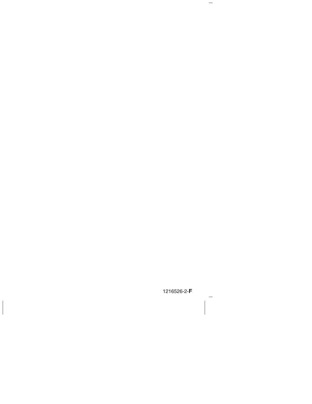1216526-2-**F**

 $\overline{\phantom{m}}$